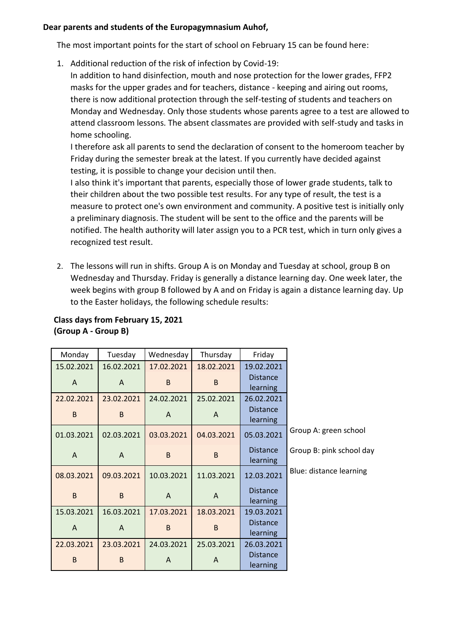## **Dear parents and students of the Europagymnasium Auhof,**

The most important points for the start of school on February 15 can be found here:

1. Additional reduction of the risk of infection by Covid-19:

In addition to hand disinfection, mouth and nose protection for the lower grades, FFP2 masks for the upper grades and for teachers, distance - keeping and airing out rooms, there is now additional protection through the self-testing of students and teachers on Monday and Wednesday. Only those students whose parents agree to a test are allowed to attend classroom lessons. The absent classmates are provided with self-study and tasks in home schooling.

I therefore ask all parents to send the declaration of consent to the homeroom teacher by Friday during the semester break at the latest. If you currently have decided against testing, it is possible to change your decision until then.

I also think it's important that parents, especially those of lower grade students, talk to their children about the two possible test results. For any type of result, the test is a measure to protect one's own environment and community. A positive test is initially only a preliminary diagnosis. The student will be sent to the office and the parents will be notified. The health authority will later assign you to a PCR test, which in turn only gives a recognized test result.

2. The lessons will run in shifts. Group A is on Monday and Tuesday at school, group B on Wednesday and Thursday. Friday is generally a distance learning day. One week later, the week begins with group B followed by A and on Friday is again a distance learning day. Up to the Easter holidays, the following schedule results:

| Monday         | Tuesday      | Wednesday  | Thursday     | Friday                      |                          |
|----------------|--------------|------------|--------------|-----------------------------|--------------------------|
| 15.02.2021     | 16.02.2021   | 17.02.2021 | 18.02.2021   | 19.02.2021                  |                          |
| A              | A            | B          | B.           | <b>Distance</b><br>learning |                          |
| 22.02.2021     | 23.02.2021   | 24.02.2021 | 25.02.2021   | 26.02.2021                  |                          |
| B              | <sub>B</sub> | A          | A            | <b>Distance</b><br>learning |                          |
| 01.03.2021     | 02.03.2021   | 03.03.2021 | 04.03.2021   | 05.03.2021                  | Group A: green school    |
| $\overline{A}$ | A            | B          | B.           | <b>Distance</b><br>learning | Group B: pink school day |
| 08.03.2021     | 09.03.2021   | 10.03.2021 | 11.03.2021   | 12.03.2021                  | Blue: distance learning  |
| B              | B            | A          | A            | <b>Distance</b><br>learning |                          |
| 15.03.2021     | 16.03.2021   | 17.03.2021 | 18.03.2021   | 19.03.2021                  |                          |
| A              | A            | B          | <sub>B</sub> | <b>Distance</b><br>learning |                          |
| 22.03.2021     | 23.03.2021   | 24.03.2021 | 25.03.2021   | 26.03.2021                  |                          |
| B              | B            | A          | A            | <b>Distance</b><br>learning |                          |

## **Class days from February 15, 2021 (Group A - Group B)**